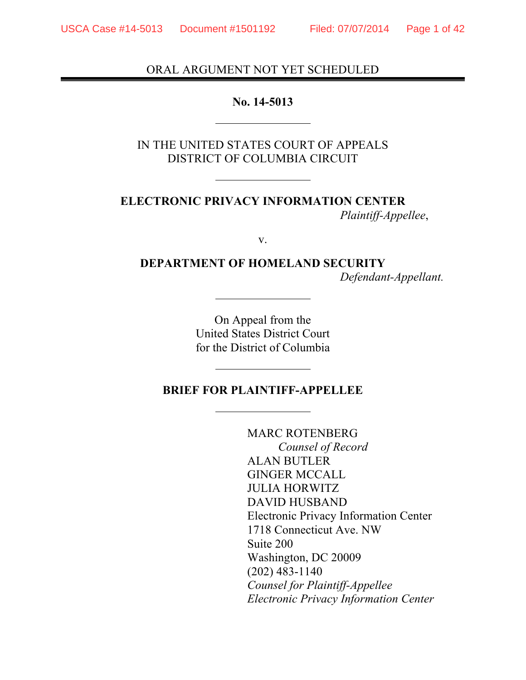### ORAL ARGUMENT NOT YET SCHEDULED

#### **No. 14-5013**

IN THE UNITED STATES COURT OF APPEALS DISTRICT OF COLUMBIA CIRCUIT

**ELECTRONIC PRIVACY INFORMATION CENTER**  *Plaintiff-Appellee*,

v.

**DEPARTMENT OF HOMELAND SECURITY** *Defendant-Appellant.*

> On Appeal from the United States District Court for the District of Columbia

### **BRIEF FOR PLAINTIFF-APPELLEE**

MARC ROTENBERG *Counsel of Record* ALAN BUTLER GINGER MCCALL JULIA HORWITZ DAVID HUSBAND Electronic Privacy Information Center 1718 Connecticut Ave. NW Suite 200 Washington, DC 20009 (202) 483-1140 *Counsel for Plaintiff-Appellee Electronic Privacy Information Center*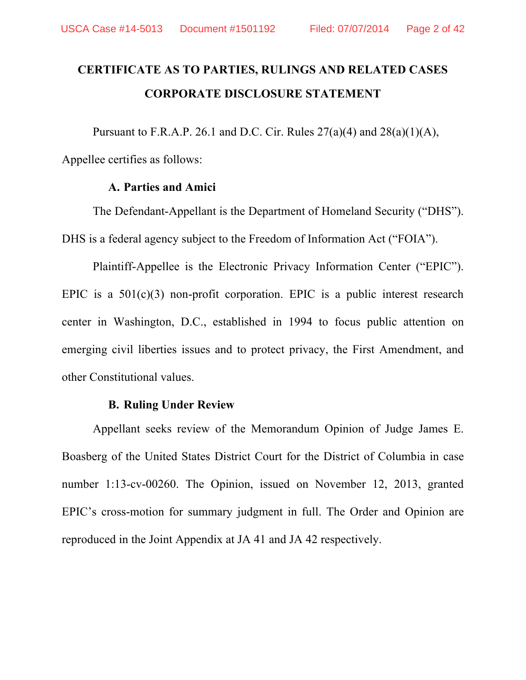# **CERTIFICATE AS TO PARTIES, RULINGS AND RELATED CASES CORPORATE DISCLOSURE STATEMENT**

Pursuant to F.R.A.P. 26.1 and D.C. Cir. Rules  $27(a)(4)$  and  $28(a)(1)(A)$ ,

Appellee certifies as follows:

#### **A. Parties and Amici**

The Defendant-Appellant is the Department of Homeland Security ("DHS"). DHS is a federal agency subject to the Freedom of Information Act ("FOIA").

Plaintiff-Appellee is the Electronic Privacy Information Center ("EPIC"). EPIC is a  $501(c)(3)$  non-profit corporation. EPIC is a public interest research center in Washington, D.C., established in 1994 to focus public attention on emerging civil liberties issues and to protect privacy, the First Amendment, and other Constitutional values.

#### **B. Ruling Under Review**

Appellant seeks review of the Memorandum Opinion of Judge James E. Boasberg of the United States District Court for the District of Columbia in case number 1:13-cv-00260. The Opinion, issued on November 12, 2013, granted EPIC's cross-motion for summary judgment in full. The Order and Opinion are reproduced in the Joint Appendix at JA 41 and JA 42 respectively.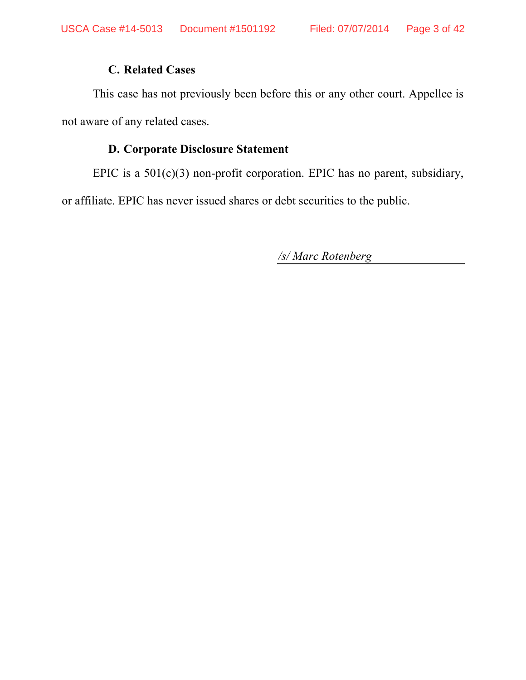### **C. Related Cases**

This case has not previously been before this or any other court. Appellee is not aware of any related cases.

### **D. Corporate Disclosure Statement**

EPIC is a 501(c)(3) non-profit corporation. EPIC has no parent, subsidiary,

or affiliate. EPIC has never issued shares or debt securities to the public.

*/s/ Marc Rotenberg*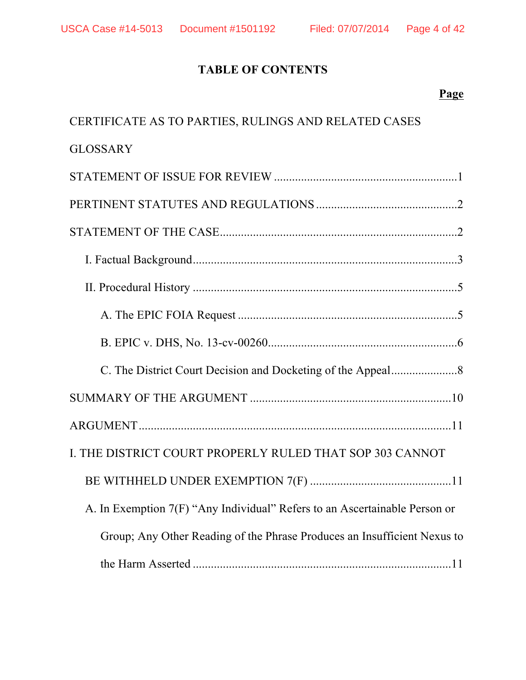## **TABLE OF CONTENTS**

### **Page**

| CERTIFICATE AS TO PARTIES, RULINGS AND RELATED CASES                       |
|----------------------------------------------------------------------------|
| <b>GLOSSARY</b>                                                            |
|                                                                            |
|                                                                            |
|                                                                            |
|                                                                            |
|                                                                            |
|                                                                            |
|                                                                            |
|                                                                            |
|                                                                            |
|                                                                            |
| I. THE DISTRICT COURT PROPERLY RULED THAT SOP 303 CANNOT                   |
|                                                                            |
| A. In Exemption 7(F) "Any Individual" Refers to an Ascertainable Person or |
| Group; Any Other Reading of the Phrase Produces an Insufficient Nexus to   |
|                                                                            |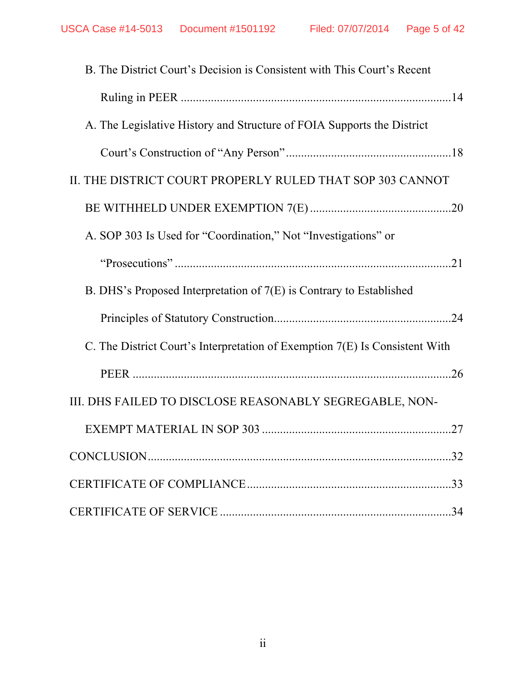| B. The District Court's Decision is Consistent with This Court's Recent     |     |
|-----------------------------------------------------------------------------|-----|
|                                                                             |     |
| A. The Legislative History and Structure of FOIA Supports the District      |     |
|                                                                             |     |
| II. THE DISTRICT COURT PROPERLY RULED THAT SOP 303 CANNOT                   |     |
|                                                                             |     |
| A. SOP 303 Is Used for "Coordination," Not "Investigations" or              |     |
|                                                                             |     |
| B. DHS's Proposed Interpretation of 7(E) is Contrary to Established         |     |
|                                                                             |     |
| C. The District Court's Interpretation of Exemption 7(E) Is Consistent With |     |
|                                                                             |     |
| III. DHS FAILED TO DISCLOSE REASONABLY SEGREGABLE, NON-                     |     |
|                                                                             |     |
|                                                                             | .32 |
|                                                                             |     |
|                                                                             | .34 |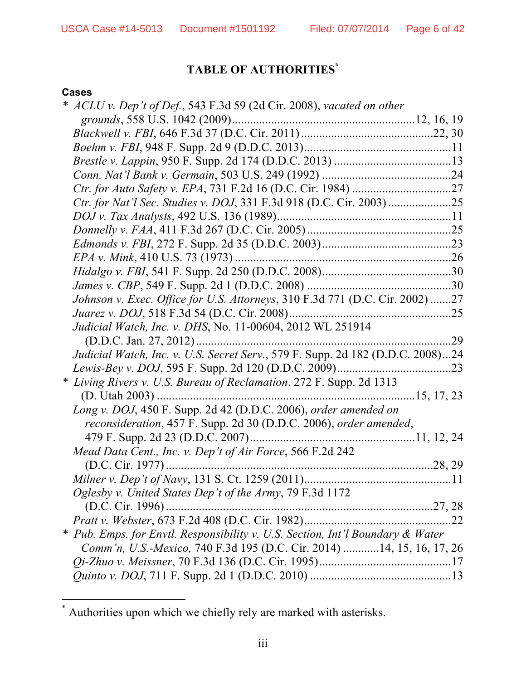## **TABLE OF AUTHORITIES\***

#### **Cases**

 $\overline{a}$ 

|   | ACLU v. Dep't of Def., 543 F.3d 59 (2d Cir. 2008), vacated on other            |    |
|---|--------------------------------------------------------------------------------|----|
|   |                                                                                |    |
|   |                                                                                |    |
|   |                                                                                |    |
|   |                                                                                |    |
|   |                                                                                |    |
|   |                                                                                |    |
|   |                                                                                |    |
|   |                                                                                |    |
|   |                                                                                |    |
|   |                                                                                |    |
|   |                                                                                |    |
|   |                                                                                |    |
|   |                                                                                |    |
|   | Johnson v. Exec. Office for U.S. Attorneys, 310 F.3d 771 (D.C. Cir. 2002) 27   |    |
|   |                                                                                |    |
|   | Judicial Watch, Inc. v. DHS, No. 11-00604, 2012 WL 251914                      |    |
|   |                                                                                | 29 |
|   | Judicial Watch, Inc. v. U.S. Secret Serv., 579 F. Supp. 2d 182 (D.D.C. 2008)24 |    |
|   |                                                                                |    |
| ∗ | Living Rivers v. U.S. Bureau of Reclamation. 272 F. Supp. 2d 1313              |    |
|   | $(D. Utah 2003)$                                                               |    |
|   | Long v. DOJ, 450 F. Supp. 2d 42 (D.D.C. 2006), order amended on                |    |
|   | reconsideration, 457 F. Supp. 2d 30 (D.D.C. 2006), order amended,              |    |
|   |                                                                                |    |
|   | Mead Data Cent., Inc. v. Dep't of Air Force, 566 F.2d 242                      |    |
|   | (D.C. Cir. 1977)                                                               |    |
|   |                                                                                |    |
|   | Oglesby v. United States Dep't of the Army, 79 F.3d 1172                       |    |
|   |                                                                                |    |
|   |                                                                                |    |
|   | * Pub. Emps. for Envtl. Responsibility v. U.S. Section, Int'l Boundary & Water |    |
|   | Comm'n, U.S.-Mexico, 740 F.3d 195 (D.C. Cir. 2014) 14, 15, 16, 17, 26          |    |
|   |                                                                                |    |
|   |                                                                                |    |

<sup>\*</sup> Authorities upon which we chiefly rely are marked with asterisks.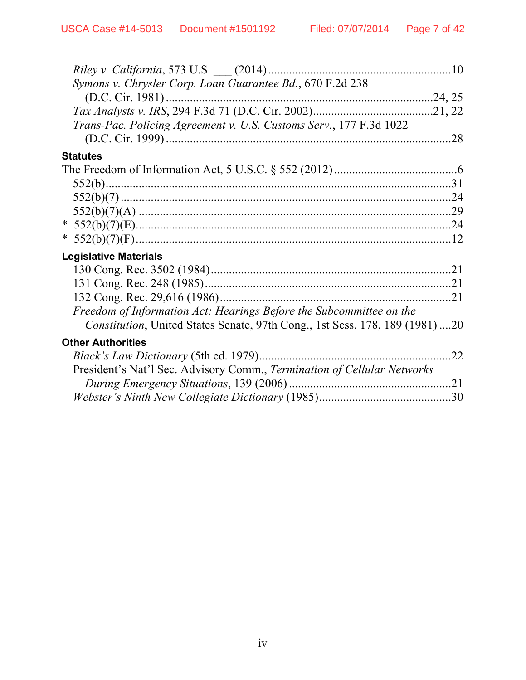| Riley v. California, 573 U.S. __ (2014)                                      |     |
|------------------------------------------------------------------------------|-----|
| Symons v. Chrysler Corp. Loan Guarantee Bd., 670 F.2d 238                    |     |
| $(D.C. Cir. 1981)$                                                           |     |
|                                                                              |     |
| Trans-Pac. Policing Agreement v. U.S. Customs Serv., 177 F.3d 1022           |     |
|                                                                              | .28 |
|                                                                              |     |
| <b>Statutes</b>                                                              |     |
|                                                                              |     |
|                                                                              |     |
|                                                                              |     |
|                                                                              |     |
|                                                                              |     |
|                                                                              |     |
|                                                                              |     |
| <b>Legislative Materials</b>                                                 |     |
|                                                                              |     |
|                                                                              |     |
|                                                                              |     |
| Freedom of Information Act: Hearings Before the Subcommittee on the          |     |
| Constitution, United States Senate, 97th Cong., 1st Sess. 178, 189 (1981) 20 |     |
|                                                                              |     |
| <b>Other Authorities</b>                                                     |     |
| <i>Black's Law Dictionary</i> (5th ed. 1979)                                 | 22  |
| President's Nat'l Sec. Advisory Comm., Termination of Cellular Networks      |     |
|                                                                              | .21 |
|                                                                              |     |
|                                                                              |     |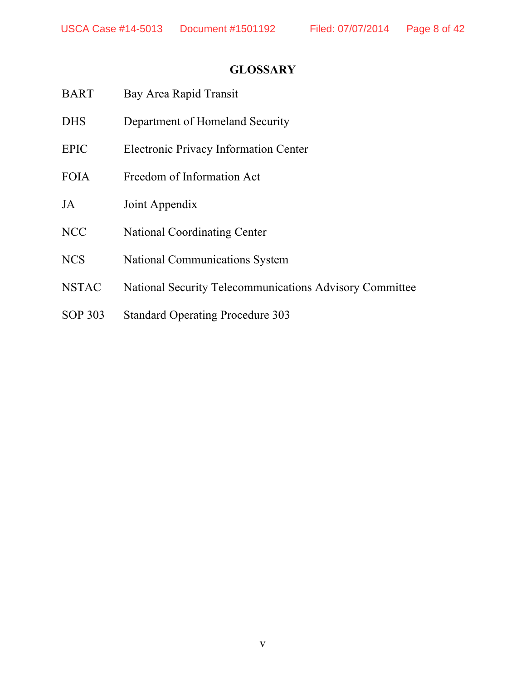## **GLOSSARY**

| <b>BART</b>    | Bay Area Rapid Transit                                         |
|----------------|----------------------------------------------------------------|
| <b>DHS</b>     | Department of Homeland Security                                |
| <b>EPIC</b>    | <b>Electronic Privacy Information Center</b>                   |
| <b>FOIA</b>    | Freedom of Information Act                                     |
| JA             | Joint Appendix                                                 |
| <b>NCC</b>     | <b>National Coordinating Center</b>                            |
| <b>NCS</b>     | <b>National Communications System</b>                          |
| <b>NSTAC</b>   | <b>National Security Telecommunications Advisory Committee</b> |
| <b>SOP 303</b> | <b>Standard Operating Procedure 303</b>                        |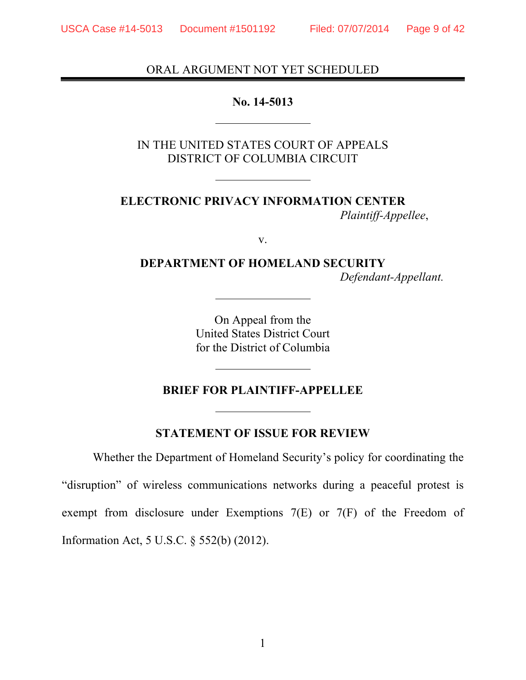### ORAL ARGUMENT NOT YET SCHEDULED

#### **No. 14-5013**

IN THE UNITED STATES COURT OF APPEALS DISTRICT OF COLUMBIA CIRCUIT

**ELECTRONIC PRIVACY INFORMATION CENTER**  *Plaintiff-Appellee*,

v.

**DEPARTMENT OF HOMELAND SECURITY** *Defendant-Appellant.*

> On Appeal from the United States District Court for the District of Columbia

### **BRIEF FOR PLAINTIFF-APPELLEE**

**STATEMENT OF ISSUE FOR REVIEW**

Whether the Department of Homeland Security's policy for coordinating the "disruption" of wireless communications networks during a peaceful protest is exempt from disclosure under Exemptions 7(E) or 7(F) of the Freedom of Information Act, 5 U.S.C. § 552(b) (2012).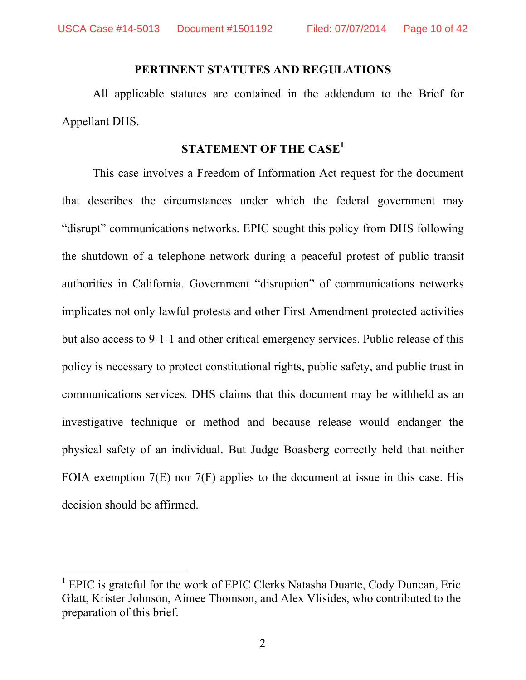#### **PERTINENT STATUTES AND REGULATIONS**

All applicable statutes are contained in the addendum to the Brief for Appellant DHS.

### **STATEMENT OF THE CASE<sup>1</sup>**

This case involves a Freedom of Information Act request for the document that describes the circumstances under which the federal government may "disrupt" communications networks. EPIC sought this policy from DHS following the shutdown of a telephone network during a peaceful protest of public transit authorities in California. Government "disruption" of communications networks implicates not only lawful protests and other First Amendment protected activities but also access to 9-1-1 and other critical emergency services. Public release of this policy is necessary to protect constitutional rights, public safety, and public trust in communications services. DHS claims that this document may be withheld as an investigative technique or method and because release would endanger the physical safety of an individual. But Judge Boasberg correctly held that neither FOIA exemption 7(E) nor 7(F) applies to the document at issue in this case. His decision should be affirmed.

 $\overline{a}$ 

<sup>&</sup>lt;sup>1</sup> EPIC is grateful for the work of EPIC Clerks Natasha Duarte, Cody Duncan, Eric Glatt, Krister Johnson, Aimee Thomson, and Alex Vlisides, who contributed to the preparation of this brief.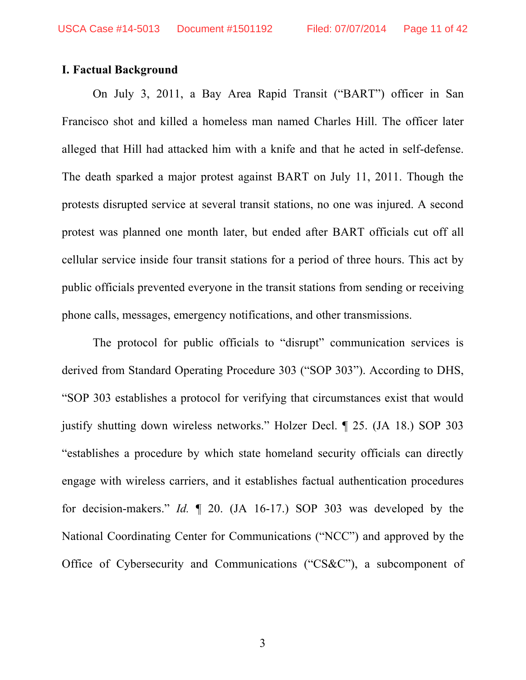#### **I. Factual Background**

On July 3, 2011, a Bay Area Rapid Transit ("BART") officer in San Francisco shot and killed a homeless man named Charles Hill. The officer later alleged that Hill had attacked him with a knife and that he acted in self-defense. The death sparked a major protest against BART on July 11, 2011. Though the protests disrupted service at several transit stations, no one was injured. A second protest was planned one month later, but ended after BART officials cut off all cellular service inside four transit stations for a period of three hours. This act by public officials prevented everyone in the transit stations from sending or receiving phone calls, messages, emergency notifications, and other transmissions.

The protocol for public officials to "disrupt" communication services is derived from Standard Operating Procedure 303 ("SOP 303"). According to DHS, "SOP 303 establishes a protocol for verifying that circumstances exist that would justify shutting down wireless networks." Holzer Decl. ¶ 25. (JA 18.) SOP 303 "establishes a procedure by which state homeland security officials can directly engage with wireless carriers, and it establishes factual authentication procedures for decision-makers." *Id.* ¶ 20. (JA 16-17.) SOP 303 was developed by the National Coordinating Center for Communications ("NCC") and approved by the Office of Cybersecurity and Communications ("CS&C"), a subcomponent of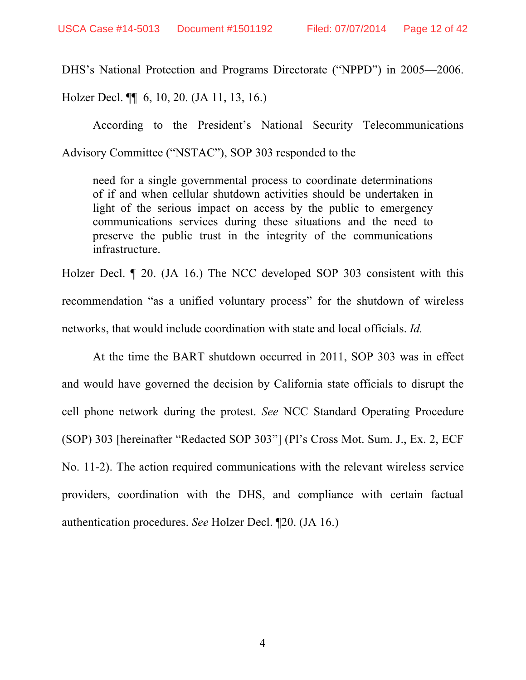DHS's National Protection and Programs Directorate ("NPPD") in 2005—2006.

Holzer Decl. ¶¶ 6, 10, 20. (JA 11, 13, 16.)

According to the President's National Security Telecommunications Advisory Committee ("NSTAC"), SOP 303 responded to the

need for a single governmental process to coordinate determinations of if and when cellular shutdown activities should be undertaken in light of the serious impact on access by the public to emergency communications services during these situations and the need to preserve the public trust in the integrity of the communications infrastructure.

Holzer Decl. ¶ 20. (JA 16.) The NCC developed SOP 303 consistent with this recommendation "as a unified voluntary process" for the shutdown of wireless networks, that would include coordination with state and local officials. *Id.* 

At the time the BART shutdown occurred in 2011, SOP 303 was in effect and would have governed the decision by California state officials to disrupt the cell phone network during the protest. *See* NCC Standard Operating Procedure (SOP) 303 [hereinafter "Redacted SOP 303"] (Pl's Cross Mot. Sum. J., Ex. 2, ECF No. 11-2). The action required communications with the relevant wireless service providers, coordination with the DHS, and compliance with certain factual authentication procedures. *See* Holzer Decl. ¶20. (JA 16.)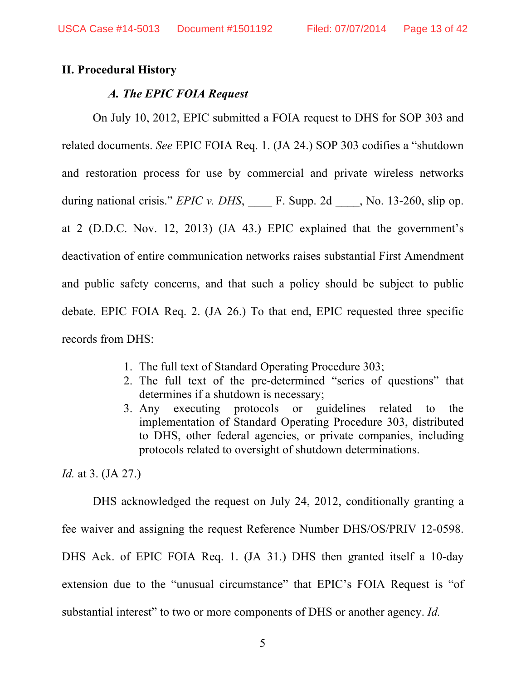#### **II. Procedural History**

#### *A. The EPIC FOIA Request*

On July 10, 2012, EPIC submitted a FOIA request to DHS for SOP 303 and related documents. *See* EPIC FOIA Req. 1. (JA 24.) SOP 303 codifies a "shutdown and restoration process for use by commercial and private wireless networks during national crisis." *EPIC v. DHS*, F. Supp. 2d , No. 13-260, slip op. at 2 (D.D.C. Nov. 12, 2013) (JA 43.) EPIC explained that the government's deactivation of entire communication networks raises substantial First Amendment and public safety concerns, and that such a policy should be subject to public debate. EPIC FOIA Req. 2. (JA 26.) To that end, EPIC requested three specific records from DHS:

- 1. The full text of Standard Operating Procedure 303;
- 2. The full text of the pre-determined "series of questions" that determines if a shutdown is necessary;
- 3. Any executing protocols or guidelines related to the implementation of Standard Operating Procedure 303, distributed to DHS, other federal agencies, or private companies, including protocols related to oversight of shutdown determinations.

*Id.* at 3. (JA 27.)

DHS acknowledged the request on July 24, 2012, conditionally granting a fee waiver and assigning the request Reference Number DHS/OS/PRIV 12-0598. DHS Ack. of EPIC FOIA Req. 1. (JA 31.) DHS then granted itself a 10-day extension due to the "unusual circumstance" that EPIC's FOIA Request is "of substantial interest" to two or more components of DHS or another agency. *Id.*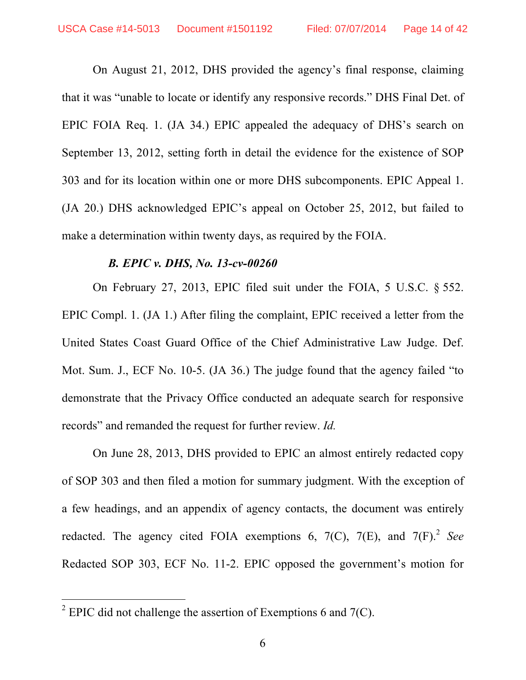On August 21, 2012, DHS provided the agency's final response, claiming that it was "unable to locate or identify any responsive records." DHS Final Det. of EPIC FOIA Req. 1. (JA 34.) EPIC appealed the adequacy of DHS's search on September 13, 2012, setting forth in detail the evidence for the existence of SOP 303 and for its location within one or more DHS subcomponents. EPIC Appeal 1. (JA 20.) DHS acknowledged EPIC's appeal on October 25, 2012, but failed to make a determination within twenty days, as required by the FOIA.

### *B. EPIC v. DHS, No. 13-cv-00260*

On February 27, 2013, EPIC filed suit under the FOIA, 5 U.S.C. § 552. EPIC Compl. 1. (JA 1.) After filing the complaint, EPIC received a letter from the United States Coast Guard Office of the Chief Administrative Law Judge. Def. Mot. Sum. J., ECF No. 10-5. (JA 36.) The judge found that the agency failed "to demonstrate that the Privacy Office conducted an adequate search for responsive records" and remanded the request for further review. *Id.*

On June 28, 2013, DHS provided to EPIC an almost entirely redacted copy of SOP 303 and then filed a motion for summary judgment. With the exception of a few headings, and an appendix of agency contacts, the document was entirely redacted. The agency cited FOIA exemptions  $6, 7(C), 7(E),$  and  $7(F)$ .<sup>2</sup> *See* Redacted SOP 303, ECF No. 11-2. EPIC opposed the government's motion for

 $\overline{a}$ 

<sup>&</sup>lt;sup>2</sup> EPIC did not challenge the assertion of Exemptions 6 and  $7(C)$ .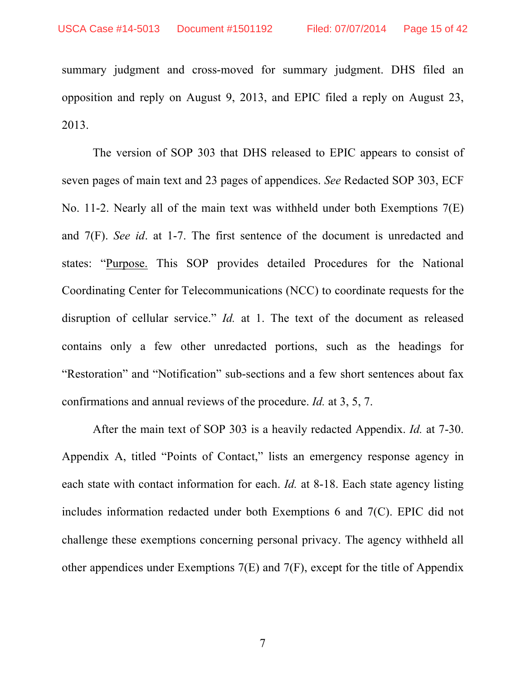summary judgment and cross-moved for summary judgment. DHS filed an opposition and reply on August 9, 2013, and EPIC filed a reply on August 23, 2013.

The version of SOP 303 that DHS released to EPIC appears to consist of seven pages of main text and 23 pages of appendices. *See* Redacted SOP 303, ECF No. 11-2. Nearly all of the main text was withheld under both Exemptions 7(E) and 7(F). *See id*. at 1-7. The first sentence of the document is unredacted and states: "Purpose. This SOP provides detailed Procedures for the National Coordinating Center for Telecommunications (NCC) to coordinate requests for the disruption of cellular service." *Id.* at 1. The text of the document as released contains only a few other unredacted portions, such as the headings for "Restoration" and "Notification" sub-sections and a few short sentences about fax confirmations and annual reviews of the procedure. *Id.* at 3, 5, 7.

After the main text of SOP 303 is a heavily redacted Appendix. *Id.* at 7-30. Appendix A, titled "Points of Contact," lists an emergency response agency in each state with contact information for each. *Id.* at 8-18. Each state agency listing includes information redacted under both Exemptions 6 and 7(C). EPIC did not challenge these exemptions concerning personal privacy. The agency withheld all other appendices under Exemptions 7(E) and 7(F), except for the title of Appendix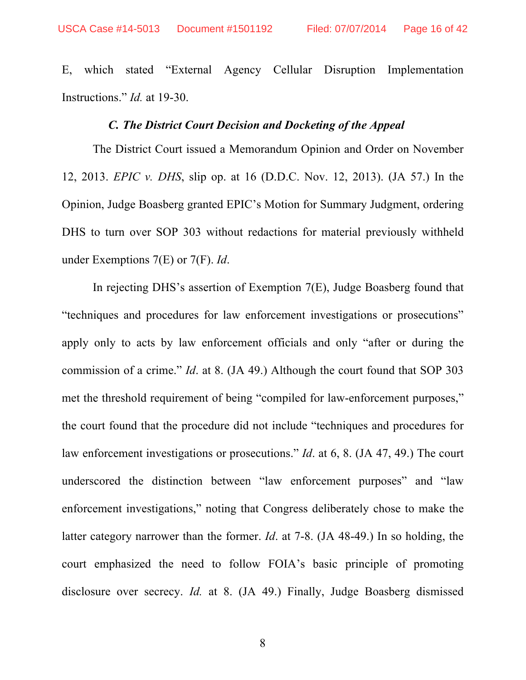E, which stated "External Agency Cellular Disruption Implementation Instructions." *Id.* at 19-30.

#### *C. The District Court Decision and Docketing of the Appeal*

The District Court issued a Memorandum Opinion and Order on November 12, 2013. *EPIC v. DHS*, slip op. at 16 (D.D.C. Nov. 12, 2013). (JA 57.) In the Opinion, Judge Boasberg granted EPIC's Motion for Summary Judgment, ordering DHS to turn over SOP 303 without redactions for material previously withheld under Exemptions 7(E) or 7(F). *Id*.

In rejecting DHS's assertion of Exemption 7(E), Judge Boasberg found that "techniques and procedures for law enforcement investigations or prosecutions" apply only to acts by law enforcement officials and only "after or during the commission of a crime." *Id*. at 8. (JA 49.) Although the court found that SOP 303 met the threshold requirement of being "compiled for law-enforcement purposes," the court found that the procedure did not include "techniques and procedures for law enforcement investigations or prosecutions." *Id*. at 6, 8. (JA 47, 49.) The court underscored the distinction between "law enforcement purposes" and "law enforcement investigations," noting that Congress deliberately chose to make the latter category narrower than the former. *Id*. at 7-8. (JA 48-49.) In so holding, the court emphasized the need to follow FOIA's basic principle of promoting disclosure over secrecy. *Id.* at 8. (JA 49.) Finally, Judge Boasberg dismissed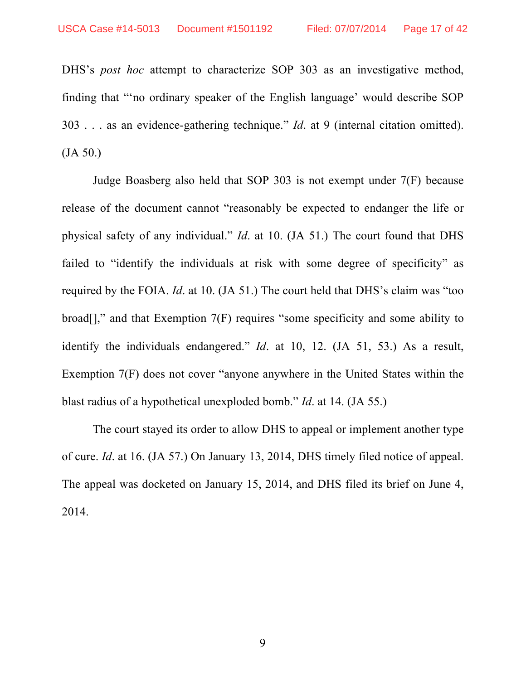DHS's *post hoc* attempt to characterize SOP 303 as an investigative method, finding that "'no ordinary speaker of the English language' would describe SOP 303 . . . as an evidence-gathering technique." *Id*. at 9 (internal citation omitted). (JA 50.)

Judge Boasberg also held that SOP 303 is not exempt under 7(F) because release of the document cannot "reasonably be expected to endanger the life or physical safety of any individual." *Id*. at 10. (JA 51.) The court found that DHS failed to "identify the individuals at risk with some degree of specificity" as required by the FOIA. *Id*. at 10. (JA 51.) The court held that DHS's claim was "too  $broad[]$ ," and that Exemption  $7(F)$  requires "some specificity and some ability to identify the individuals endangered." *Id*. at 10, 12. (JA 51, 53.) As a result, Exemption 7(F) does not cover "anyone anywhere in the United States within the blast radius of a hypothetical unexploded bomb." *Id*. at 14. (JA 55.)

The court stayed its order to allow DHS to appeal or implement another type of cure. *Id*. at 16. (JA 57.) On January 13, 2014, DHS timely filed notice of appeal. The appeal was docketed on January 15, 2014, and DHS filed its brief on June 4, 2014.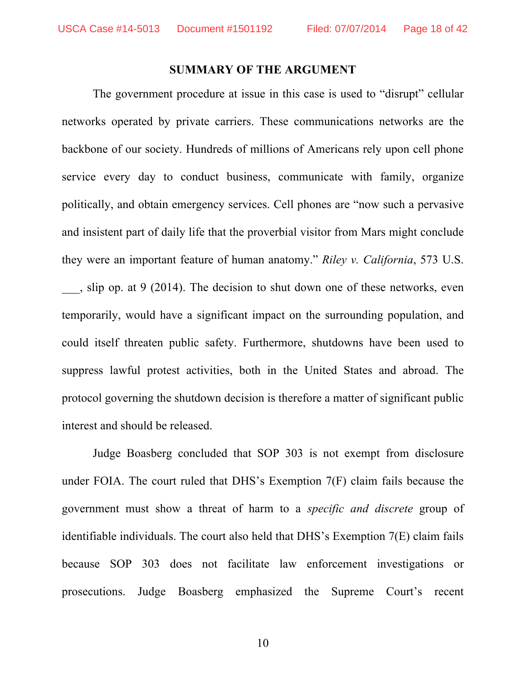#### **SUMMARY OF THE ARGUMENT**

The government procedure at issue in this case is used to "disrupt" cellular networks operated by private carriers. These communications networks are the backbone of our society. Hundreds of millions of Americans rely upon cell phone service every day to conduct business, communicate with family, organize politically, and obtain emergency services. Cell phones are "now such a pervasive and insistent part of daily life that the proverbial visitor from Mars might conclude they were an important feature of human anatomy." *Riley v. California*, 573 U.S. \_\_\_, slip op. at 9 (2014). The decision to shut down one of these networks, even temporarily, would have a significant impact on the surrounding population, and could itself threaten public safety. Furthermore, shutdowns have been used to suppress lawful protest activities, both in the United States and abroad. The protocol governing the shutdown decision is therefore a matter of significant public interest and should be released.

Judge Boasberg concluded that SOP 303 is not exempt from disclosure under FOIA. The court ruled that DHS's Exemption 7(F) claim fails because the government must show a threat of harm to a *specific and discrete* group of identifiable individuals. The court also held that DHS's Exemption 7(E) claim fails because SOP 303 does not facilitate law enforcement investigations or prosecutions. Judge Boasberg emphasized the Supreme Court's recent

10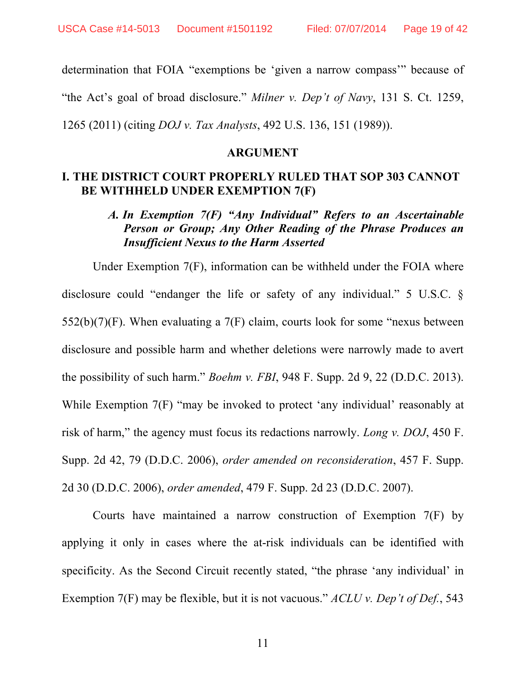determination that FOIA "exemptions be 'given a narrow compass'" because of "the Act's goal of broad disclosure." *Milner v. Dep't of Navy*, 131 S. Ct. 1259,

1265 (2011) (citing *DOJ v. Tax Analysts*, 492 U.S. 136, 151 (1989)).

#### **ARGUMENT**

### **I. THE DISTRICT COURT PROPERLY RULED THAT SOP 303 CANNOT BE WITHHELD UNDER EXEMPTION 7(F)**

### *A. In Exemption 7(F) "Any Individual" Refers to an Ascertainable Person or Group; Any Other Reading of the Phrase Produces an Insufficient Nexus to the Harm Asserted*

Under Exemption 7(F), information can be withheld under the FOIA where disclosure could "endanger the life or safety of any individual." 5 U.S.C. § 552(b)(7)(F). When evaluating a 7(F) claim, courts look for some "nexus between disclosure and possible harm and whether deletions were narrowly made to avert the possibility of such harm." *Boehm v. FBI*, 948 F. Supp. 2d 9, 22 (D.D.C. 2013). While Exemption 7(F) "may be invoked to protect 'any individual' reasonably at risk of harm," the agency must focus its redactions narrowly. *Long v. DOJ*, 450 F. Supp. 2d 42, 79 (D.D.C. 2006), *order amended on reconsideration*, 457 F. Supp. 2d 30 (D.D.C. 2006), *order amended*, 479 F. Supp. 2d 23 (D.D.C. 2007).

Courts have maintained a narrow construction of Exemption 7(F) by applying it only in cases where the at-risk individuals can be identified with specificity. As the Second Circuit recently stated, "the phrase 'any individual' in Exemption 7(F) may be flexible, but it is not vacuous." *ACLU v. Dep't of Def.*, 543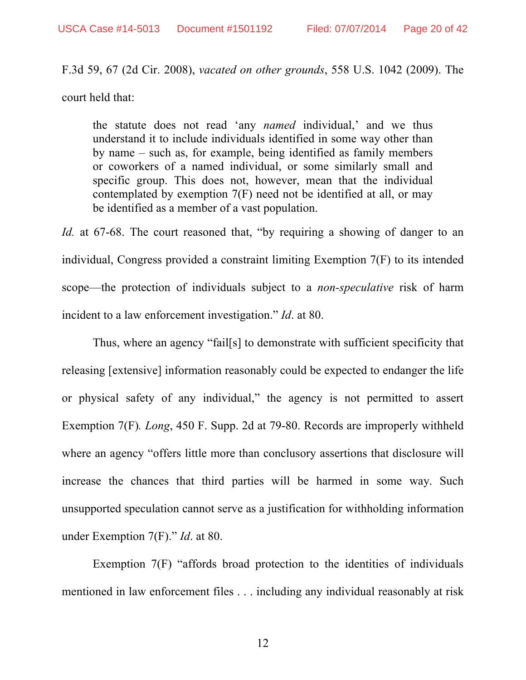F.3d 59, 67 (2d Cir. 2008), *vacated on other grounds*, 558 U.S. 1042 (2009). The court held that:

the statute does not read 'any *named* individual,' and we thus understand it to include individuals identified in some way other than by name – such as, for example, being identified as family members or coworkers of a named individual, or some similarly small and specific group. This does not, however, mean that the individual contemplated by exemption 7(F) need not be identified at all, or may be identified as a member of a vast population.

*Id.* at 67-68. The court reasoned that, "by requiring a showing of danger to an individual, Congress provided a constraint limiting Exemption 7(F) to its intended scope—the protection of individuals subject to a *non-speculative* risk of harm incident to a law enforcement investigation." *Id*. at 80.

Thus, where an agency "fail[s] to demonstrate with sufficient specificity that releasing [extensive] information reasonably could be expected to endanger the life or physical safety of any individual," the agency is not permitted to assert Exemption 7(F)*. Long*, 450 F. Supp. 2d at 79-80. Records are improperly withheld where an agency "offers little more than conclusory assertions that disclosure will increase the chances that third parties will be harmed in some way. Such unsupported speculation cannot serve as a justification for withholding information under Exemption 7(F)." *Id*. at 80.

Exemption 7(F) "affords broad protection to the identities of individuals mentioned in law enforcement files . . . including any individual reasonably at risk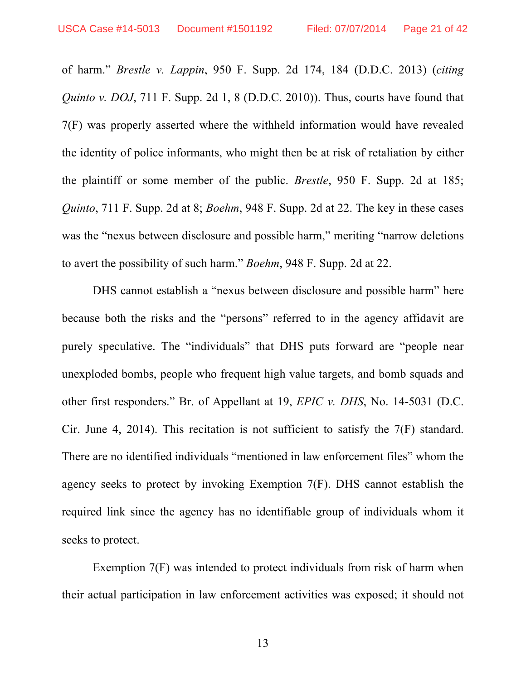of harm." *Brestle v. Lappin*, 950 F. Supp. 2d 174, 184 (D.D.C. 2013) (*citing Quinto v. DOJ*, 711 F. Supp. 2d 1, 8 (D.D.C. 2010)). Thus, courts have found that 7(F) was properly asserted where the withheld information would have revealed the identity of police informants, who might then be at risk of retaliation by either the plaintiff or some member of the public. *Brestle*, 950 F. Supp. 2d at 185; *Quinto*, 711 F. Supp. 2d at 8; *Boehm*, 948 F. Supp. 2d at 22. The key in these cases was the "nexus between disclosure and possible harm," meriting "narrow deletions" to avert the possibility of such harm." *Boehm*, 948 F. Supp. 2d at 22.

DHS cannot establish a "nexus between disclosure and possible harm" here because both the risks and the "persons" referred to in the agency affidavit are purely speculative. The "individuals" that DHS puts forward are "people near unexploded bombs, people who frequent high value targets, and bomb squads and other first responders." Br. of Appellant at 19, *EPIC v. DHS*, No. 14-5031 (D.C. Cir. June 4, 2014). This recitation is not sufficient to satisfy the 7(F) standard. There are no identified individuals "mentioned in law enforcement files" whom the agency seeks to protect by invoking Exemption 7(F). DHS cannot establish the required link since the agency has no identifiable group of individuals whom it seeks to protect.

Exemption 7(F) was intended to protect individuals from risk of harm when their actual participation in law enforcement activities was exposed; it should not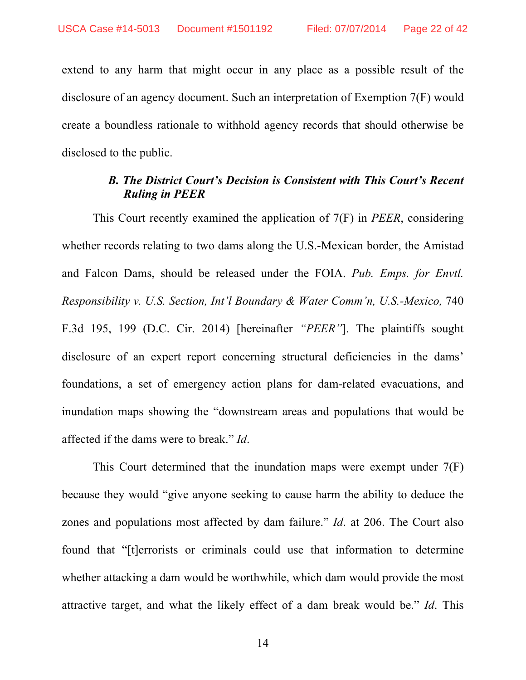extend to any harm that might occur in any place as a possible result of the disclosure of an agency document. Such an interpretation of Exemption 7(F) would create a boundless rationale to withhold agency records that should otherwise be disclosed to the public.

### *B. The District Court's Decision is Consistent with This Court's Recent Ruling in PEER*

This Court recently examined the application of 7(F) in *PEER*, considering whether records relating to two dams along the U.S.-Mexican border, the Amistad and Falcon Dams, should be released under the FOIA. *Pub. Emps. for Envtl. Responsibility v. U.S. Section, Int'l Boundary & Water Comm'n, U.S.-Mexico, 740* F.3d 195, 199 (D.C. Cir. 2014) [hereinafter *"PEER"*]. The plaintiffs sought disclosure of an expert report concerning structural deficiencies in the dams' foundations, a set of emergency action plans for dam-related evacuations, and inundation maps showing the "downstream areas and populations that would be affected if the dams were to break." *Id*.

This Court determined that the inundation maps were exempt under 7(F) because they would "give anyone seeking to cause harm the ability to deduce the zones and populations most affected by dam failure." *Id*. at 206. The Court also found that "[t]errorists or criminals could use that information to determine whether attacking a dam would be worthwhile, which dam would provide the most attractive target, and what the likely effect of a dam break would be." *Id*. This

14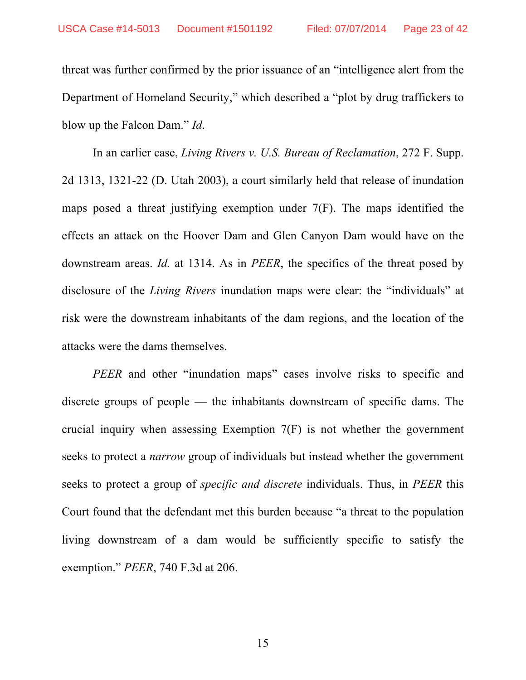threat was further confirmed by the prior issuance of an "intelligence alert from the Department of Homeland Security," which described a "plot by drug traffickers to blow up the Falcon Dam." *Id*.

In an earlier case, *Living Rivers v. U.S. Bureau of Reclamation*, 272 F. Supp. 2d 1313, 1321-22 (D. Utah 2003), a court similarly held that release of inundation maps posed a threat justifying exemption under 7(F). The maps identified the effects an attack on the Hoover Dam and Glen Canyon Dam would have on the downstream areas. *Id.* at 1314. As in *PEER*, the specifics of the threat posed by disclosure of the *Living Rivers* inundation maps were clear: the "individuals" at risk were the downstream inhabitants of the dam regions, and the location of the attacks were the dams themselves.

*PEER* and other "inundation maps" cases involve risks to specific and discrete groups of people — the inhabitants downstream of specific dams. The crucial inquiry when assessing Exemption 7(F) is not whether the government seeks to protect a *narrow* group of individuals but instead whether the government seeks to protect a group of *specific and discrete* individuals. Thus, in *PEER* this Court found that the defendant met this burden because "a threat to the population living downstream of a dam would be sufficiently specific to satisfy the exemption." *PEER*, 740 F.3d at 206.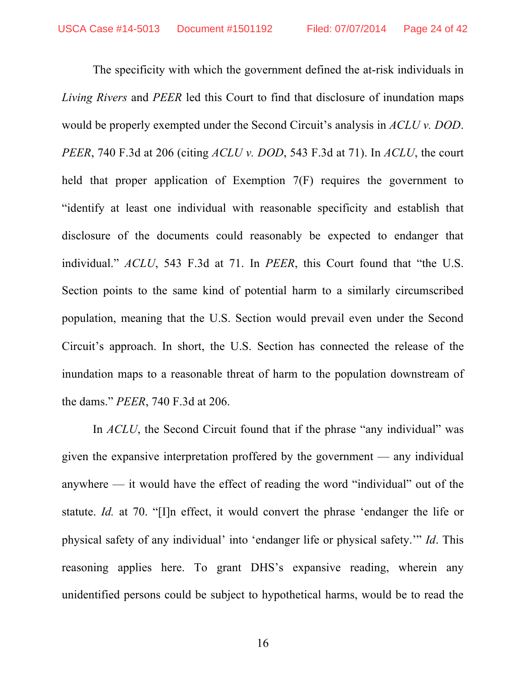The specificity with which the government defined the at-risk individuals in *Living Rivers* and *PEER* led this Court to find that disclosure of inundation maps would be properly exempted under the Second Circuit's analysis in *ACLU v. DOD*. *PEER*, 740 F.3d at 206 (citing *ACLU v. DOD*, 543 F.3d at 71). In *ACLU*, the court held that proper application of Exemption 7(F) requires the government to "identify at least one individual with reasonable specificity and establish that disclosure of the documents could reasonably be expected to endanger that individual." *ACLU*, 543 F.3d at 71. In *PEER*, this Court found that "the U.S. Section points to the same kind of potential harm to a similarly circumscribed population, meaning that the U.S. Section would prevail even under the Second Circuit's approach. In short, the U.S. Section has connected the release of the inundation maps to a reasonable threat of harm to the population downstream of the dams." *PEER*, 740 F.3d at 206.

In *ACLU*, the Second Circuit found that if the phrase "any individual" was given the expansive interpretation proffered by the government — any individual anywhere — it would have the effect of reading the word "individual" out of the statute. *Id.* at 70. "[I]n effect, it would convert the phrase 'endanger the life or physical safety of any individual' into 'endanger life or physical safety.'" *Id*. This reasoning applies here. To grant DHS's expansive reading, wherein any unidentified persons could be subject to hypothetical harms, would be to read the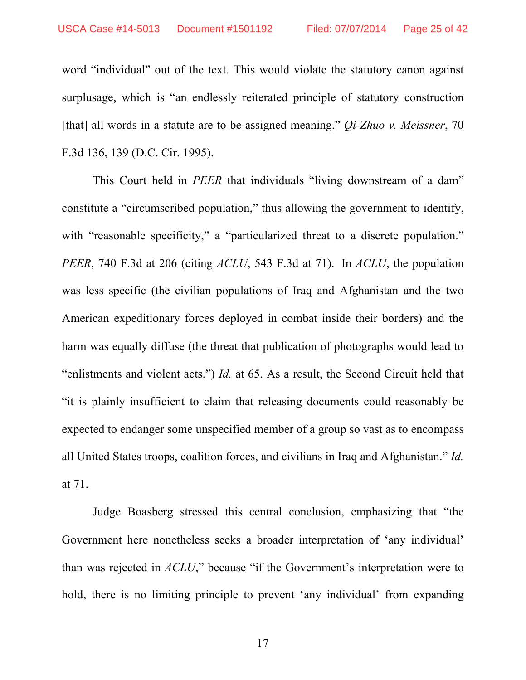word "individual" out of the text. This would violate the statutory canon against surplusage, which is "an endlessly reiterated principle of statutory construction [that] all words in a statute are to be assigned meaning." *Qi-Zhuo v. Meissner*, 70 F.3d 136, 139 (D.C. Cir. 1995).

This Court held in *PEER* that individuals "living downstream of a dam" constitute a "circumscribed population," thus allowing the government to identify, with "reasonable specificity," a "particularized threat to a discrete population." *PEER*, 740 F.3d at 206 (citing *ACLU*, 543 F.3d at 71). In *ACLU*, the population was less specific (the civilian populations of Iraq and Afghanistan and the two American expeditionary forces deployed in combat inside their borders) and the harm was equally diffuse (the threat that publication of photographs would lead to "enlistments and violent acts.") *Id.* at 65. As a result, the Second Circuit held that "it is plainly insufficient to claim that releasing documents could reasonably be expected to endanger some unspecified member of a group so vast as to encompass all United States troops, coalition forces, and civilians in Iraq and Afghanistan." *Id.* at 71.

Judge Boasberg stressed this central conclusion, emphasizing that "the Government here nonetheless seeks a broader interpretation of 'any individual' than was rejected in *ACLU*," because "if the Government's interpretation were to hold, there is no limiting principle to prevent 'any individual' from expanding

17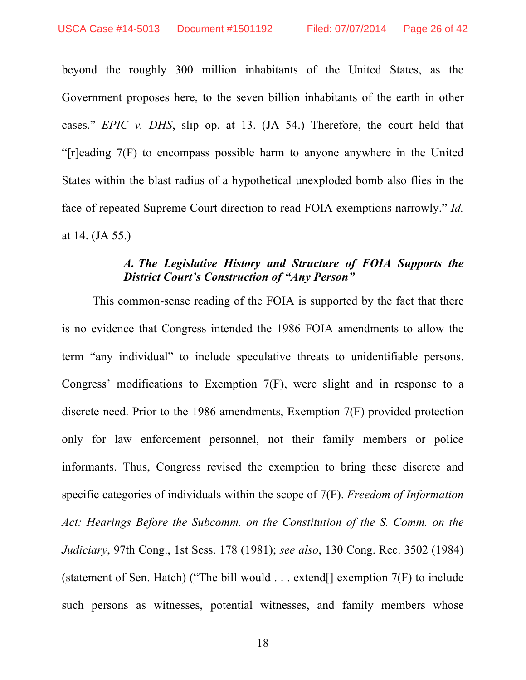beyond the roughly 300 million inhabitants of the United States, as the Government proposes here, to the seven billion inhabitants of the earth in other cases." *EPIC v. DHS*, slip op. at 13. (JA 54.) Therefore, the court held that "[r]eading 7(F) to encompass possible harm to anyone anywhere in the United States within the blast radius of a hypothetical unexploded bomb also flies in the face of repeated Supreme Court direction to read FOIA exemptions narrowly." *Id.* at 14. (JA 55.)

### *A. The Legislative History and Structure of FOIA Supports the District Court's Construction of "Any Person"*

This common-sense reading of the FOIA is supported by the fact that there is no evidence that Congress intended the 1986 FOIA amendments to allow the term "any individual" to include speculative threats to unidentifiable persons. Congress' modifications to Exemption 7(F), were slight and in response to a discrete need. Prior to the 1986 amendments, Exemption 7(F) provided protection only for law enforcement personnel, not their family members or police informants. Thus, Congress revised the exemption to bring these discrete and specific categories of individuals within the scope of 7(F). *Freedom of Information Act: Hearings Before the Subcomm. on the Constitution of the S. Comm. on the Judiciary*, 97th Cong., 1st Sess. 178 (1981); *see also*, 130 Cong. Rec. 3502 (1984) (statement of Sen. Hatch) ("The bill would . . . extend[] exemption 7(F) to include such persons as witnesses, potential witnesses, and family members whose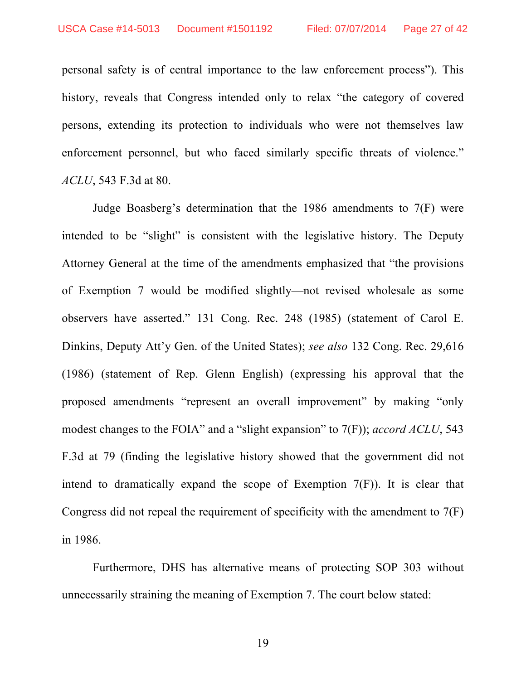personal safety is of central importance to the law enforcement process"). This history, reveals that Congress intended only to relax "the category of covered persons, extending its protection to individuals who were not themselves law enforcement personnel, but who faced similarly specific threats of violence." *ACLU*, 543 F.3d at 80.

Judge Boasberg's determination that the 1986 amendments to 7(F) were intended to be "slight" is consistent with the legislative history. The Deputy Attorney General at the time of the amendments emphasized that "the provisions of Exemption 7 would be modified slightly—not revised wholesale as some observers have asserted." 131 Cong. Rec. 248 (1985) (statement of Carol E. Dinkins, Deputy Att'y Gen. of the United States); *see also* 132 Cong. Rec. 29,616 (1986) (statement of Rep. Glenn English) (expressing his approval that the proposed amendments "represent an overall improvement" by making "only modest changes to the FOIA" and a "slight expansion" to 7(F)); *accord ACLU*, 543 F.3d at 79 (finding the legislative history showed that the government did not intend to dramatically expand the scope of Exemption 7(F)). It is clear that Congress did not repeal the requirement of specificity with the amendment to 7(F) in 1986.

Furthermore, DHS has alternative means of protecting SOP 303 without unnecessarily straining the meaning of Exemption 7. The court below stated:

19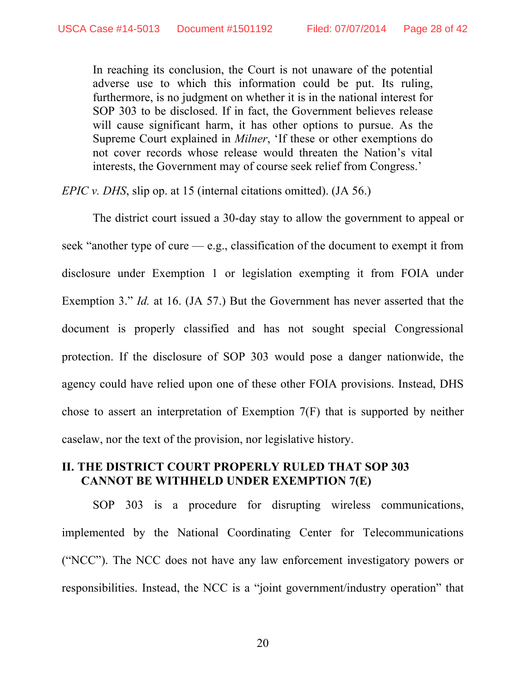In reaching its conclusion, the Court is not unaware of the potential adverse use to which this information could be put. Its ruling, furthermore, is no judgment on whether it is in the national interest for SOP 303 to be disclosed. If in fact, the Government believes release will cause significant harm, it has other options to pursue. As the Supreme Court explained in *Milner*, 'If these or other exemptions do not cover records whose release would threaten the Nation's vital interests, the Government may of course seek relief from Congress.'

*EPIC v. DHS*, slip op. at 15 (internal citations omitted). (JA 56.)

The district court issued a 30-day stay to allow the government to appeal or seek "another type of cure  $-e.g.,$  classification of the document to exempt it from disclosure under Exemption 1 or legislation exempting it from FOIA under Exemption 3." *Id.* at 16. (JA 57.) But the Government has never asserted that the document is properly classified and has not sought special Congressional protection. If the disclosure of SOP 303 would pose a danger nationwide, the agency could have relied upon one of these other FOIA provisions. Instead, DHS chose to assert an interpretation of Exemption 7(F) that is supported by neither caselaw, nor the text of the provision, nor legislative history.

### **II. THE DISTRICT COURT PROPERLY RULED THAT SOP 303 CANNOT BE WITHHELD UNDER EXEMPTION 7(E)**

SOP 303 is a procedure for disrupting wireless communications, implemented by the National Coordinating Center for Telecommunications ("NCC"). The NCC does not have any law enforcement investigatory powers or responsibilities. Instead, the NCC is a "joint government/industry operation" that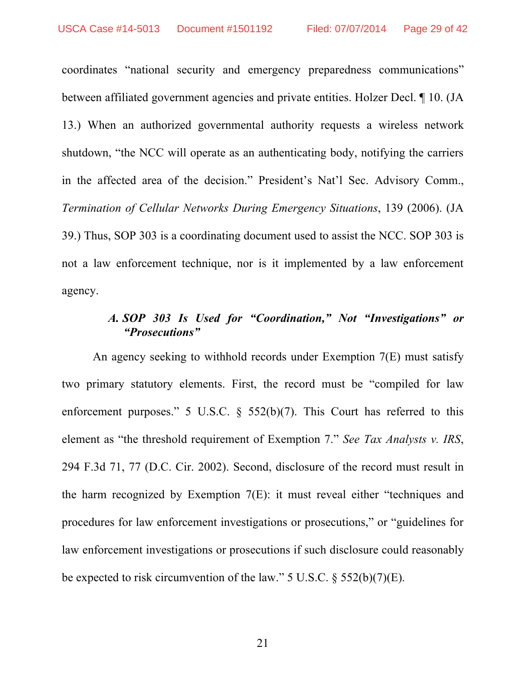coordinates "national security and emergency preparedness communications" between affiliated government agencies and private entities. Holzer Decl. ¶ 10. (JA 13.) When an authorized governmental authority requests a wireless network shutdown, "the NCC will operate as an authenticating body, notifying the carriers in the affected area of the decision." President's Nat'l Sec. Advisory Comm., *Termination of Cellular Networks During Emergency Situations*, 139 (2006). (JA 39.) Thus, SOP 303 is a coordinating document used to assist the NCC. SOP 303 is not a law enforcement technique, nor is it implemented by a law enforcement agency.

### *A. SOP 303 Is Used for "Coordination," Not "Investigations" or "Prosecutions"*

An agency seeking to withhold records under Exemption 7(E) must satisfy two primary statutory elements. First, the record must be "compiled for law enforcement purposes." 5 U.S.C.  $\frac{6}{5}$  552(b)(7). This Court has referred to this element as "the threshold requirement of Exemption 7." *See Tax Analysts v. IRS*, 294 F.3d 71, 77 (D.C. Cir. 2002). Second, disclosure of the record must result in the harm recognized by Exemption 7(E): it must reveal either "techniques and procedures for law enforcement investigations or prosecutions," or "guidelines for law enforcement investigations or prosecutions if such disclosure could reasonably be expected to risk circumvention of the law."  $5 \text{ U.S.C.}$   $\S$   $552(b)(7)(E)$ .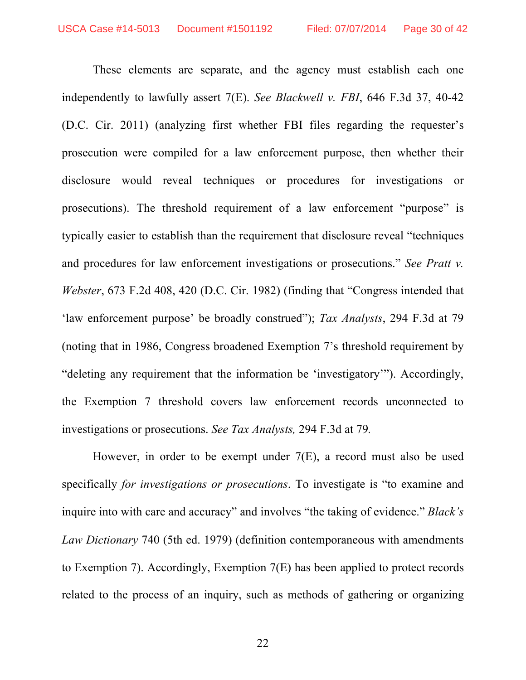These elements are separate, and the agency must establish each one independently to lawfully assert 7(E). *See Blackwell v. FBI*, 646 F.3d 37, 40-42 (D.C. Cir. 2011) (analyzing first whether FBI files regarding the requester's prosecution were compiled for a law enforcement purpose, then whether their disclosure would reveal techniques or procedures for investigations or prosecutions). The threshold requirement of a law enforcement "purpose" is typically easier to establish than the requirement that disclosure reveal "techniques and procedures for law enforcement investigations or prosecutions." *See Pratt v. Webster*, 673 F.2d 408, 420 (D.C. Cir. 1982) (finding that "Congress intended that 'law enforcement purpose' be broadly construed"); *Tax Analysts*, 294 F.3d at 79 (noting that in 1986, Congress broadened Exemption 7's threshold requirement by "deleting any requirement that the information be 'investigatory'"). Accordingly, the Exemption 7 threshold covers law enforcement records unconnected to investigations or prosecutions. *See Tax Analysts,* 294 F.3d at 79*.*

However, in order to be exempt under 7(E), a record must also be used specifically *for investigations or prosecutions*. To investigate is "to examine and inquire into with care and accuracy" and involves "the taking of evidence." *Black's Law Dictionary* 740 (5th ed. 1979) (definition contemporaneous with amendments to Exemption 7). Accordingly, Exemption 7(E) has been applied to protect records related to the process of an inquiry, such as methods of gathering or organizing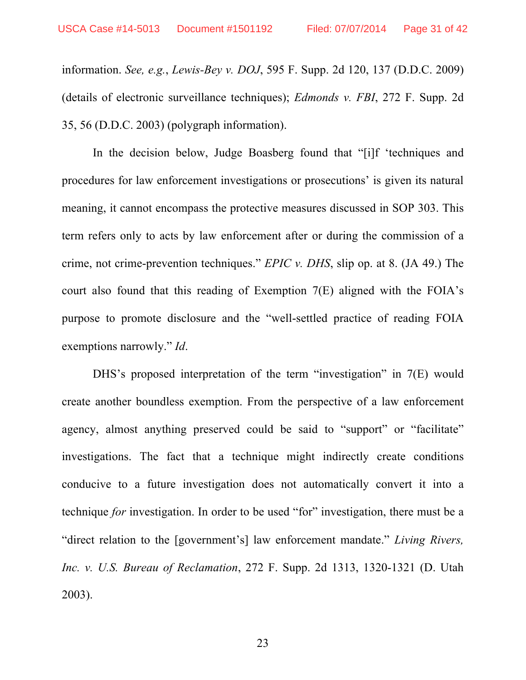information. *See, e.g.*, *Lewis-Bey v. DOJ*, 595 F. Supp. 2d 120, 137 (D.D.C. 2009) (details of electronic surveillance techniques); *Edmonds v. FBI*, 272 F. Supp. 2d 35, 56 (D.D.C. 2003) (polygraph information).

In the decision below, Judge Boasberg found that "[i]f 'techniques and procedures for law enforcement investigations or prosecutions' is given its natural meaning, it cannot encompass the protective measures discussed in SOP 303. This term refers only to acts by law enforcement after or during the commission of a crime, not crime-prevention techniques." *EPIC v. DHS*, slip op. at 8. (JA 49.) The court also found that this reading of Exemption 7(E) aligned with the FOIA's purpose to promote disclosure and the "well-settled practice of reading FOIA exemptions narrowly." *Id*.

DHS's proposed interpretation of the term "investigation" in 7(E) would create another boundless exemption. From the perspective of a law enforcement agency, almost anything preserved could be said to "support" or "facilitate" investigations. The fact that a technique might indirectly create conditions conducive to a future investigation does not automatically convert it into a technique *for* investigation. In order to be used "for" investigation, there must be a "direct relation to the [government's] law enforcement mandate." *Living Rivers, Inc. v. U.S. Bureau of Reclamation*, 272 F. Supp. 2d 1313, 1320-1321 (D. Utah 2003).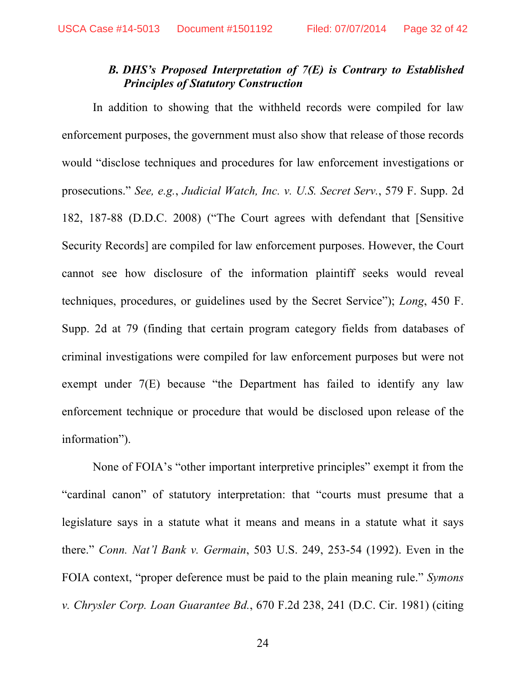### *B. DHS's Proposed Interpretation of 7(E) is Contrary to Established Principles of Statutory Construction*

In addition to showing that the withheld records were compiled for law enforcement purposes, the government must also show that release of those records would "disclose techniques and procedures for law enforcement investigations or prosecutions." *See, e.g.*, *Judicial Watch, Inc. v. U.S. Secret Serv.*, 579 F. Supp. 2d 182, 187-88 (D.D.C. 2008) ("The Court agrees with defendant that [Sensitive Security Records] are compiled for law enforcement purposes. However, the Court cannot see how disclosure of the information plaintiff seeks would reveal techniques, procedures, or guidelines used by the Secret Service"); *Long*, 450 F. Supp. 2d at 79 (finding that certain program category fields from databases of criminal investigations were compiled for law enforcement purposes but were not exempt under 7(E) because "the Department has failed to identify any law enforcement technique or procedure that would be disclosed upon release of the information").

None of FOIA's "other important interpretive principles" exempt it from the "cardinal canon" of statutory interpretation: that "courts must presume that a legislature says in a statute what it means and means in a statute what it says there." *Conn. Nat'l Bank v. Germain*, 503 U.S. 249, 253-54 (1992). Even in the FOIA context, "proper deference must be paid to the plain meaning rule." *Symons v. Chrysler Corp. Loan Guarantee Bd.*, 670 F.2d 238, 241 (D.C. Cir. 1981) (citing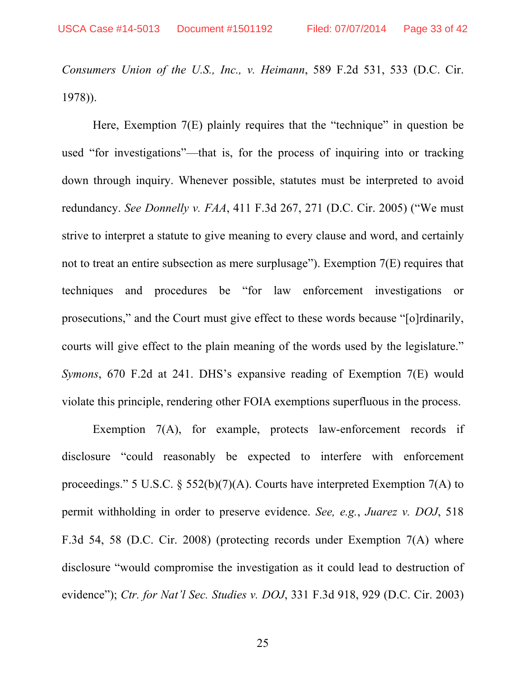*Consumers Union of the U.S., Inc., v. Heimann*, 589 F.2d 531, 533 (D.C. Cir. 1978)).

Here, Exemption 7(E) plainly requires that the "technique" in question be used "for investigations"—that is, for the process of inquiring into or tracking down through inquiry. Whenever possible, statutes must be interpreted to avoid redundancy. *See Donnelly v. FAA*, 411 F.3d 267, 271 (D.C. Cir. 2005) ("We must strive to interpret a statute to give meaning to every clause and word, and certainly not to treat an entire subsection as mere surplusage"). Exemption 7(E) requires that techniques and procedures be "for law enforcement investigations or prosecutions," and the Court must give effect to these words because "[o]rdinarily, courts will give effect to the plain meaning of the words used by the legislature." *Symons*, 670 F.2d at 241. DHS's expansive reading of Exemption 7(E) would violate this principle, rendering other FOIA exemptions superfluous in the process.

Exemption 7(A), for example, protects law-enforcement records if disclosure "could reasonably be expected to interfere with enforcement proceedings." 5 U.S.C.  $\frac{2552(b)}{7}(A)$ . Courts have interpreted Exemption 7(A) to permit withholding in order to preserve evidence. *See, e.g.*, *Juarez v. DOJ*, 518 F.3d 54, 58 (D.C. Cir. 2008) (protecting records under Exemption 7(A) where disclosure "would compromise the investigation as it could lead to destruction of evidence"); *Ctr. for Nat'l Sec. Studies v. DOJ*, 331 F.3d 918, 929 (D.C. Cir. 2003)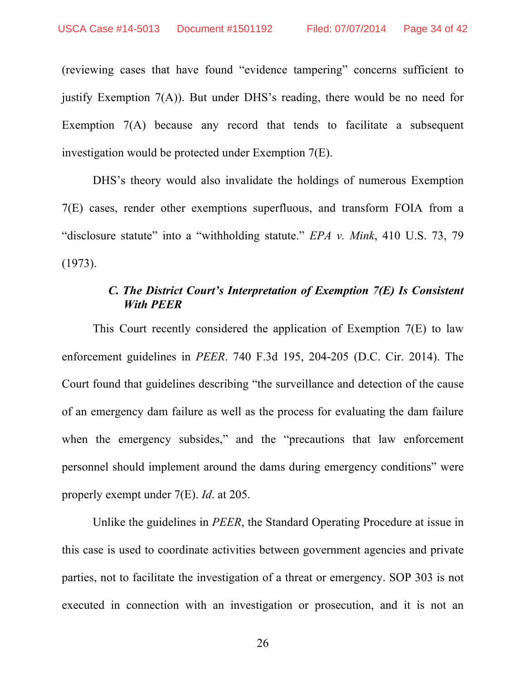(reviewing cases that have found "evidence tampering" concerns sufficient to justify Exemption 7(A)). But under DHS's reading, there would be no need for Exemption 7(A) because any record that tends to facilitate a subsequent investigation would be protected under Exemption 7(E).

DHS's theory would also invalidate the holdings of numerous Exemption 7(E) cases, render other exemptions superfluous, and transform FOIA from a "disclosure statute" into a "withholding statute." *EPA v. Mink*, 410 U.S. 73, 79 (1973).

### *C. The District Court's Interpretation of Exemption 7(E) Is Consistent With PEER*

This Court recently considered the application of Exemption 7(E) to law enforcement guidelines in *PEER*. 740 F.3d 195, 204-205 (D.C. Cir. 2014). The Court found that guidelines describing "the surveillance and detection of the cause of an emergency dam failure as well as the process for evaluating the dam failure when the emergency subsides," and the "precautions that law enforcement personnel should implement around the dams during emergency conditions" were properly exempt under 7(E). *Id*. at 205.

Unlike the guidelines in *PEER*, the Standard Operating Procedure at issue in this case is used to coordinate activities between government agencies and private parties, not to facilitate the investigation of a threat or emergency. SOP 303 is not executed in connection with an investigation or prosecution, and it is not an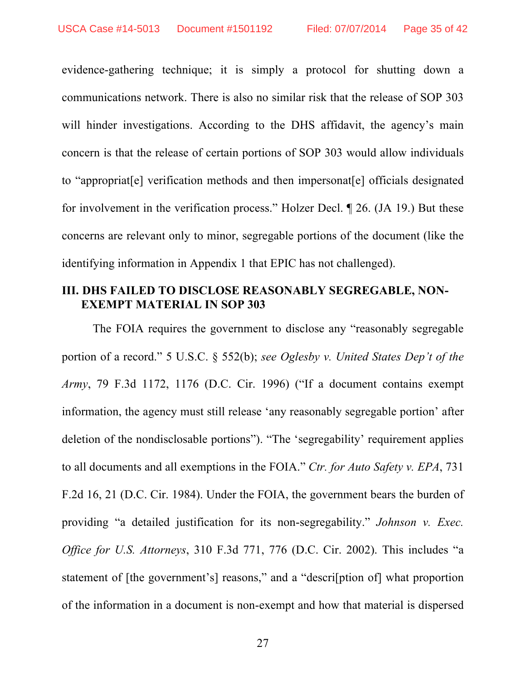evidence-gathering technique; it is simply a protocol for shutting down a communications network. There is also no similar risk that the release of SOP 303 will hinder investigations. According to the DHS affidavit, the agency's main concern is that the release of certain portions of SOP 303 would allow individuals to "appropriat[e] verification methods and then impersonat[e] officials designated for involvement in the verification process." Holzer Decl. ¶ 26. (JA 19.) But these concerns are relevant only to minor, segregable portions of the document (like the identifying information in Appendix 1 that EPIC has not challenged).

### **III. DHS FAILED TO DISCLOSE REASONABLY SEGREGABLE, NON-EXEMPT MATERIAL IN SOP 303**

The FOIA requires the government to disclose any "reasonably segregable portion of a record." 5 U.S.C. § 552(b); *see Oglesby v. United States Dep't of the Army*, 79 F.3d 1172, 1176 (D.C. Cir. 1996) ("If a document contains exempt information, the agency must still release 'any reasonably segregable portion' after deletion of the nondisclosable portions"). "The 'segregability' requirement applies to all documents and all exemptions in the FOIA." *Ctr. for Auto Safety v. EPA*, 731 F.2d 16, 21 (D.C. Cir. 1984). Under the FOIA, the government bears the burden of providing "a detailed justification for its non-segregability." *Johnson v. Exec. Office for U.S. Attorneys*, 310 F.3d 771, 776 (D.C. Cir. 2002). This includes "a statement of [the government's] reasons," and a "descri[ption of] what proportion of the information in a document is non-exempt and how that material is dispersed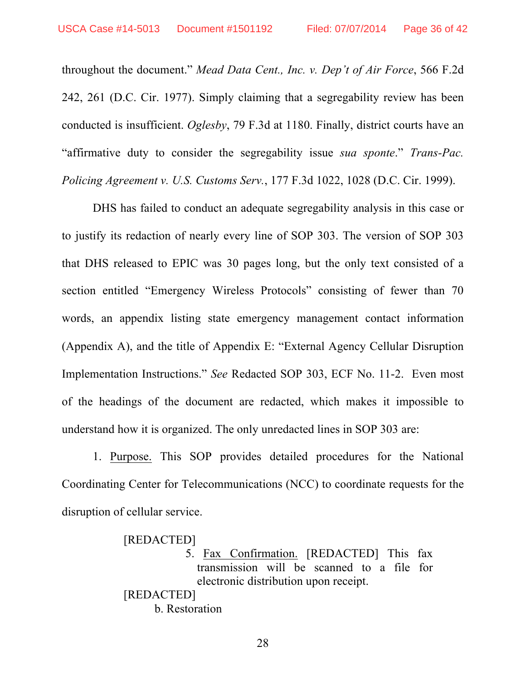throughout the document." *Mead Data Cent., Inc. v. Dep't of Air Force*, 566 F.2d 242, 261 (D.C. Cir. 1977). Simply claiming that a segregability review has been conducted is insufficient. *Oglesby*, 79 F.3d at 1180. Finally, district courts have an "affirmative duty to consider the segregability issue *sua sponte*." *Trans-Pac. Policing Agreement v. U.S. Customs Serv.*, 177 F.3d 1022, 1028 (D.C. Cir. 1999).

DHS has failed to conduct an adequate segregability analysis in this case or to justify its redaction of nearly every line of SOP 303. The version of SOP 303 that DHS released to EPIC was 30 pages long, but the only text consisted of a section entitled "Emergency Wireless Protocols" consisting of fewer than 70 words, an appendix listing state emergency management contact information (Appendix A), and the title of Appendix E: "External Agency Cellular Disruption Implementation Instructions." *See* Redacted SOP 303, ECF No. 11-2. Even most of the headings of the document are redacted, which makes it impossible to understand how it is organized. The only unredacted lines in SOP 303 are:

1. Purpose. This SOP provides detailed procedures for the National Coordinating Center for Telecommunications (NCC) to coordinate requests for the disruption of cellular service.

[REDACTED]

5. Fax Confirmation. [REDACTED] This fax transmission will be scanned to a file for electronic distribution upon receipt.

[REDACTED] b. Restoration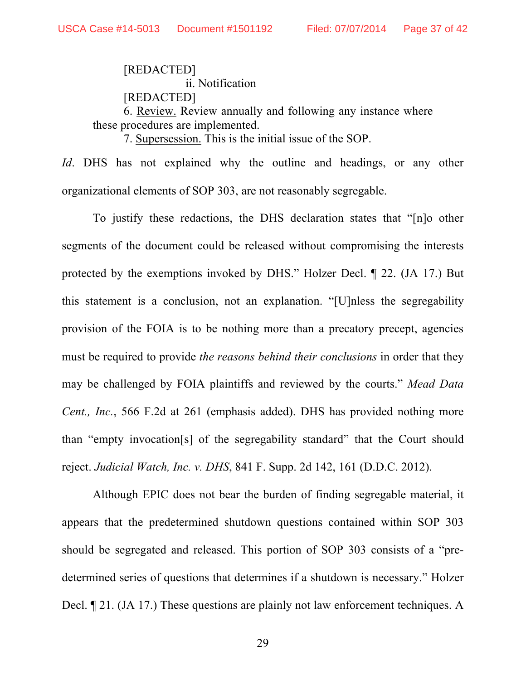[REDACTED] ii. Notification [REDACTED] 6. Review. Review annually and following any instance where these procedures are implemented.

7. Supersession. This is the initial issue of the SOP.

*Id*. DHS has not explained why the outline and headings, or any other organizational elements of SOP 303, are not reasonably segregable.

To justify these redactions, the DHS declaration states that "[n]o other segments of the document could be released without compromising the interests protected by the exemptions invoked by DHS." Holzer Decl. ¶ 22. (JA 17.) But this statement is a conclusion, not an explanation. "[U]nless the segregability provision of the FOIA is to be nothing more than a precatory precept, agencies must be required to provide *the reasons behind their conclusions* in order that they may be challenged by FOIA plaintiffs and reviewed by the courts." *Mead Data Cent., Inc.*, 566 F.2d at 261 (emphasis added). DHS has provided nothing more than "empty invocation[s] of the segregability standard" that the Court should reject. *Judicial Watch, Inc. v. DHS*, 841 F. Supp. 2d 142, 161 (D.D.C. 2012).

Although EPIC does not bear the burden of finding segregable material, it appears that the predetermined shutdown questions contained within SOP 303 should be segregated and released. This portion of SOP 303 consists of a "predetermined series of questions that determines if a shutdown is necessary." Holzer Decl. ¶ 21. (JA 17.) These questions are plainly not law enforcement techniques. A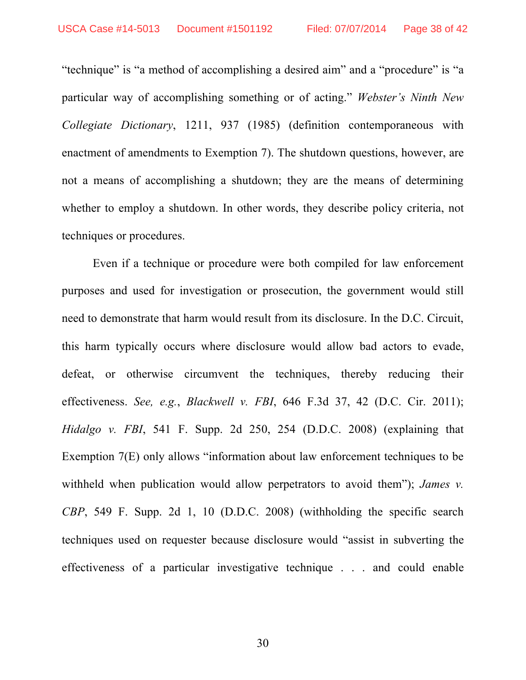"technique" is "a method of accomplishing a desired aim" and a "procedure" is "a particular way of accomplishing something or of acting." *Webster's Ninth New Collegiate Dictionary*, 1211, 937 (1985) (definition contemporaneous with enactment of amendments to Exemption 7). The shutdown questions, however, are not a means of accomplishing a shutdown; they are the means of determining whether to employ a shutdown. In other words, they describe policy criteria, not techniques or procedures.

Even if a technique or procedure were both compiled for law enforcement purposes and used for investigation or prosecution, the government would still need to demonstrate that harm would result from its disclosure. In the D.C. Circuit, this harm typically occurs where disclosure would allow bad actors to evade, defeat, or otherwise circumvent the techniques, thereby reducing their effectiveness. *See, e.g.*, *Blackwell v. FBI*, 646 F.3d 37, 42 (D.C. Cir. 2011); *Hidalgo v. FBI*, 541 F. Supp. 2d 250, 254 (D.D.C. 2008) (explaining that Exemption 7(E) only allows "information about law enforcement techniques to be withheld when publication would allow perpetrators to avoid them"); *James v. CBP*, 549 F. Supp. 2d 1, 10 (D.D.C. 2008) (withholding the specific search techniques used on requester because disclosure would "assist in subverting the effectiveness of a particular investigative technique . . . and could enable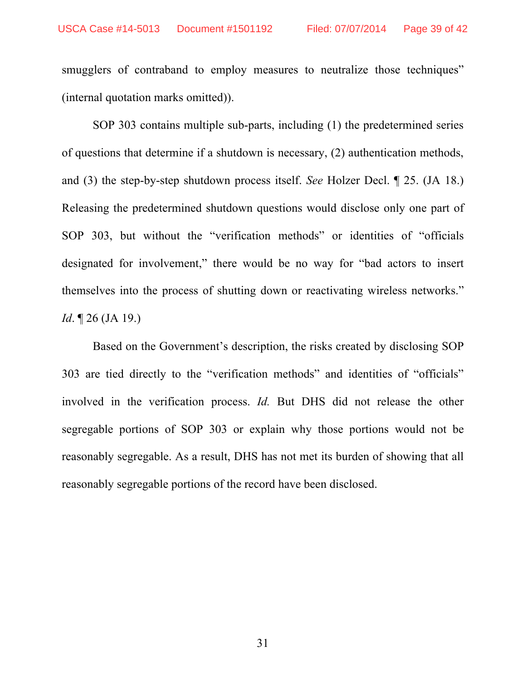smugglers of contraband to employ measures to neutralize those techniques" (internal quotation marks omitted)).

SOP 303 contains multiple sub-parts, including (1) the predetermined series of questions that determine if a shutdown is necessary, (2) authentication methods, and (3) the step-by-step shutdown process itself. *See* Holzer Decl. ¶ 25. (JA 18.) Releasing the predetermined shutdown questions would disclose only one part of SOP 303, but without the "verification methods" or identities of "officials designated for involvement," there would be no way for "bad actors to insert themselves into the process of shutting down or reactivating wireless networks." *Id*. **[26** (JA 19.)

Based on the Government's description, the risks created by disclosing SOP 303 are tied directly to the "verification methods" and identities of "officials" involved in the verification process. *Id.* But DHS did not release the other segregable portions of SOP 303 or explain why those portions would not be reasonably segregable. As a result, DHS has not met its burden of showing that all reasonably segregable portions of the record have been disclosed.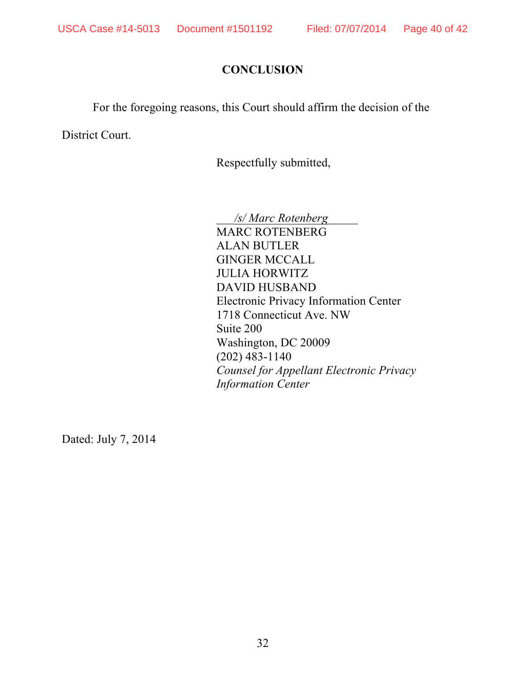## **CONCLUSION**

For the foregoing reasons, this Court should affirm the decision of the

District Court.

Respectfully submitted,

\_\_\_*/s/ Marc Rotenberg*\_\_\_\_\_ MARC ROTENBERG ALAN BUTLER GINGER MCCALL JULIA HORWITZ DAVID HUSBAND Electronic Privacy Information Center 1718 Connecticut Ave. NW Suite 200 Washington, DC 20009 (202) 483-1140 *Counsel for Appellant Electronic Privacy Information Center*

Dated: July 7, 2014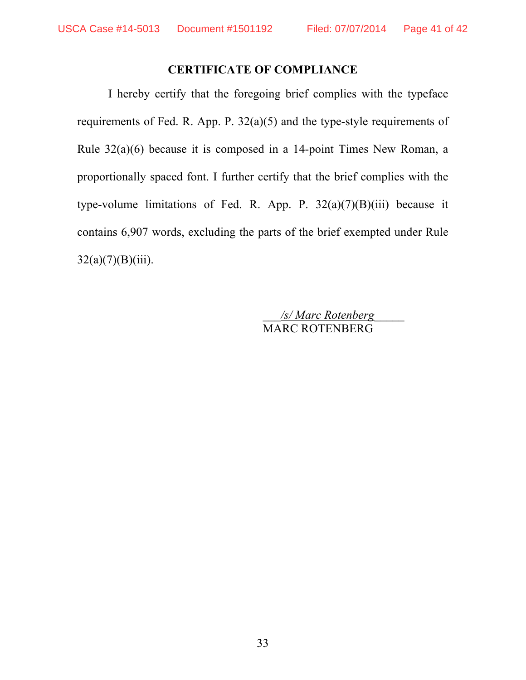### **CERTIFICATE OF COMPLIANCE**

I hereby certify that the foregoing brief complies with the typeface requirements of Fed. R. App. P. 32(a)(5) and the type-style requirements of Rule 32(a)(6) because it is composed in a 14-point Times New Roman, a proportionally spaced font. I further certify that the brief complies with the type-volume limitations of Fed. R. App. P.  $32(a)(7)(B)(iii)$  because it contains 6,907 words, excluding the parts of the brief exempted under Rule  $32(a)(7)(B)(iii)$ .

> \_\_\_*/s/ Marc Rotenberg*\_\_\_\_\_ MARC ROTENBERG